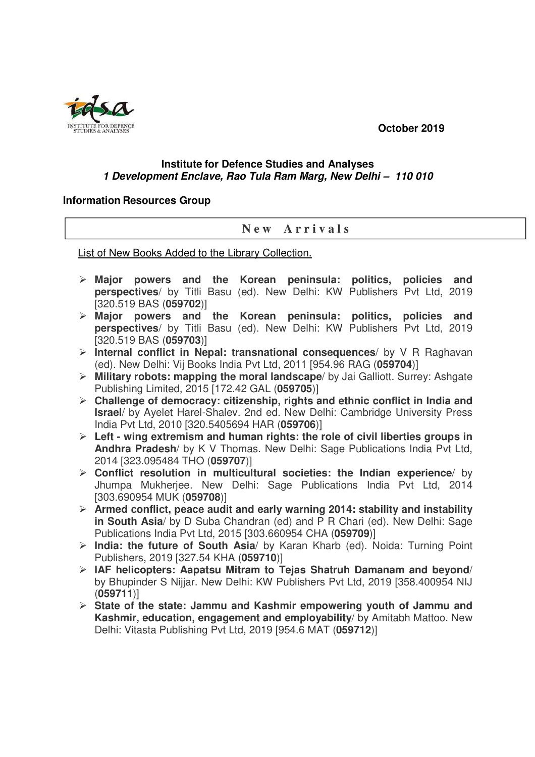**October 2019** 



## **Institute for Defence Studies and Analyses 1 Development Enclave, Rao Tula Ram Marg, New Delhi – 110 010**

## **Information Resources Group**

## **N e w A r r i v a l s**

List of New Books Added to the Library Collection.

- **Major powers and the Korean peninsula: politics, policies and perspectives**/ by Titli Basu (ed). New Delhi: KW Publishers Pvt Ltd, 2019 [320.519 BAS (**059702**)]
- **Major powers and the Korean peninsula: politics, policies and perspectives**/ by Titli Basu (ed). New Delhi: KW Publishers Pvt Ltd, 2019 [320.519 BAS (**059703**)]
- **Internal conflict in Nepal: transnational consequences**/ by V R Raghavan (ed). New Delhi: Vij Books India Pvt Ltd, 2011 [954.96 RAG (**059704**)]
- **Military robots: mapping the moral landscape**/ by Jai Galliott. Surrey: Ashgate Publishing Limited, 2015 [172.42 GAL (**059705**)]
- **Challenge of democracy: citizenship, rights and ethnic conflict in India and Israel**/ by Ayelet Harel-Shalev. 2nd ed. New Delhi: Cambridge University Press India Pvt Ltd, 2010 [320.5405694 HAR (**059706**)]
- **Left wing extremism and human rights: the role of civil liberties groups in Andhra Pradesh**/ by K V Thomas. New Delhi: Sage Publications India Pvt Ltd, 2014 [323.095484 THO (**059707**)]
- **Conflict resolution in multicultural societies: the Indian experience**/ by Jhumpa Mukherjee. New Delhi: Sage Publications India Pvt Ltd, 2014 [303.690954 MUK (**059708**)]
- **Armed conflict, peace audit and early warning 2014: stability and instability in South Asia**/ by D Suba Chandran (ed) and P R Chari (ed). New Delhi: Sage Publications India Pvt Ltd, 2015 [303.660954 CHA (**059709**)]
- **India: the future of South Asia**/ by Karan Kharb (ed). Noida: Turning Point Publishers, 2019 [327.54 KHA (**059710**)]
- **IAF helicopters: Aapatsu Mitram to Tejas Shatruh Damanam and beyond**/ by Bhupinder S Nijjar. New Delhi: KW Publishers Pvt Ltd, 2019 [358.400954 NIJ (**059711**)]
- **State of the state: Jammu and Kashmir empowering youth of Jammu and Kashmir, education, engagement and employability**/ by Amitabh Mattoo. New Delhi: Vitasta Publishing Pvt Ltd, 2019 [954.6 MAT (**059712**)]